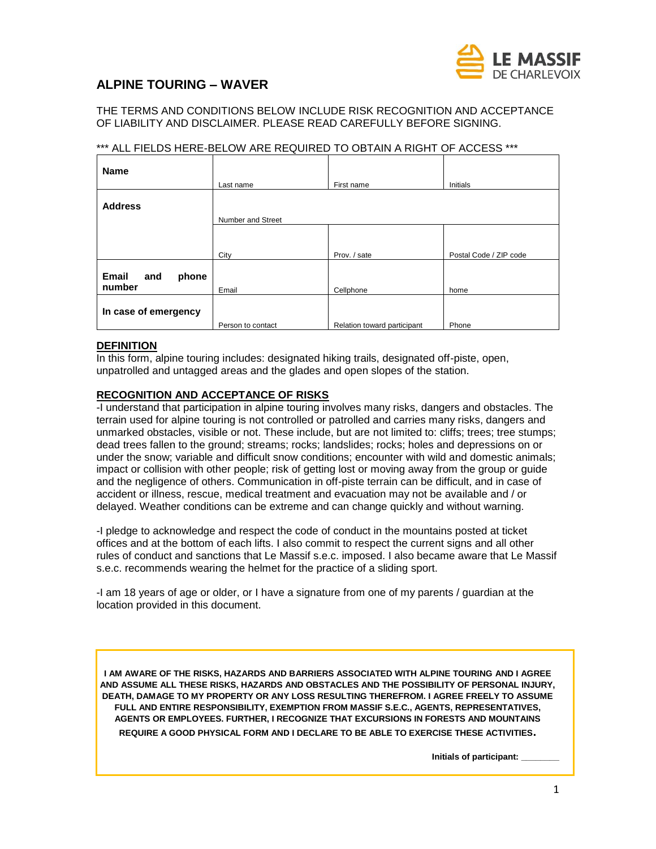

# **ALPINE TOURING – WAVER**

THE TERMS AND CONDITIONS BELOW INCLUDE RISK RECOGNITION AND ACCEPTANCE OF LIABILITY AND DISCLAIMER. PLEASE READ CAREFULLY BEFORE SIGNING.

## \*\*\* ALL FIELDS HERE-BELOW ARE REQUIRED TO OBTAIN A RIGHT OF ACCESS \*\*\*

| <b>Name</b>                     |                   |                             |                        |  |  |
|---------------------------------|-------------------|-----------------------------|------------------------|--|--|
|                                 | Last name         | First name                  | Initials               |  |  |
| <b>Address</b>                  |                   |                             |                        |  |  |
|                                 | Number and Street |                             |                        |  |  |
|                                 |                   |                             |                        |  |  |
|                                 |                   |                             |                        |  |  |
|                                 | City              | Prov. / sate                | Postal Code / ZIP code |  |  |
| Email<br>phone<br>and<br>number | Email             | Cellphone                   | home                   |  |  |
|                                 |                   |                             |                        |  |  |
| In case of emergency            |                   |                             |                        |  |  |
|                                 | Person to contact | Relation toward participant | Phone                  |  |  |

#### **DEFINITION**

In this form, alpine touring includes: designated hiking trails, designated off-piste, open, unpatrolled and untagged areas and the glades and open slopes of the station.

### **RECOGNITION AND ACCEPTANCE OF RISKS**

-I understand that participation in alpine touring involves many risks, dangers and obstacles. The terrain used for alpine touring is not controlled or patrolled and carries many risks, dangers and unmarked obstacles, visible or not. These include, but are not limited to: cliffs; trees; tree stumps; dead trees fallen to the ground; streams; rocks; landslides; rocks; holes and depressions on or under the snow; variable and difficult snow conditions; encounter with wild and domestic animals; impact or collision with other people; risk of getting lost or moving away from the group or guide and the negligence of others. Communication in off-piste terrain can be difficult, and in case of accident or illness, rescue, medical treatment and evacuation may not be available and / or delayed. Weather conditions can be extreme and can change quickly and without warning.

-I pledge to acknowledge and respect the code of conduct in the mountains posted at ticket offices and at the bottom of each lifts. I also commit to respect the current signs and all other rules of conduct and sanctions that Le Massif s.e.c. imposed. I also became aware that Le Massif s.e.c. recommends wearing the helmet for the practice of a sliding sport.

-I am 18 years of age or older, or I have a signature from one of my parents / guardian at the location provided in this document.

**I AM AWARE OF THE RISKS, HAZARDS AND BARRIERS ASSOCIATED WITH ALPINE TOURING AND I AGREE AND ASSUME ALL THESE RISKS, HAZARDS AND OBSTACLES AND THE POSSIBILITY OF PERSONAL INJURY, DEATH, DAMAGE TO MY PROPERTY OR ANY LOSS RESULTING THEREFROM. I AGREE FREELY TO ASSUME FULL AND ENTIRE RESPONSIBILITY, EXEMPTION FROM MASSIF S.E.C., AGENTS, REPRESENTATIVES, AGENTS OR EMPLOYEES. FURTHER, I RECOGNIZE THAT EXCURSIONS IN FORESTS AND MOUNTAINS** 

**REQUIRE A GOOD PHYSICAL FORM AND I DECLARE TO BE ABLE TO EXERCISE THESE ACTIVITIES.**

**Initials of participant: \_\_\_\_\_\_\_\_**